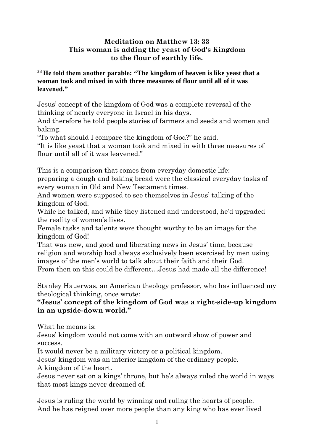## **Meditation on Matthew 13: 33 This woman is adding the yeast of God's Kingdom to the flour of earthly life.**

## **<sup>33</sup> He told them another parable: "The kingdom of heaven is like yeast that a woman took and mixed in with three measures of flour until all of it was leavened."**

Jesus' concept of the kingdom of God was a complete reversal of the thinking of nearly everyone in Israel in his days.

And therefore he told people stories of farmers and seeds and women and baking.

"To what should I compare the kingdom of God?" he said.

"It is like yeast that a woman took and mixed in with three measures of flour until all of it was leavened."

This is a comparison that comes from everyday domestic life:

preparing a dough and baking bread were the classical everyday tasks of every woman in Old and New Testament times.

And women were supposed to see themselves in Jesus' talking of the kingdom of God.

While he talked, and while they listened and understood, he'd upgraded the reality of women's lives.

Female tasks and talents were thought worthy to be an image for the kingdom of God!

That was new, and good and liberating news in Jesus' time, because religion and worship had always exclusively been exercised by men using images of the men's world to talk about their faith and their God.

From then on this could be different…Jesus had made all the difference!

Stanley Hauerwas, an American theology professor, who has influenced my theological thinking, once wrote:

## **"Jesus' concept of the kingdom of God was a right-side-up kingdom in an upside-down world."**

What he means is:

Jesus' kingdom would not come with an outward show of power and success.

It would never be a military victory or a political kingdom.

Jesus' kingdom was an interior kingdom of the ordinary people.

A kingdom of the heart.

Jesus never sat on a kings' throne, but he's always ruled the world in ways that most kings never dreamed of.

Jesus is ruling the world by winning and ruling the hearts of people. And he has reigned over more people than any king who has ever lived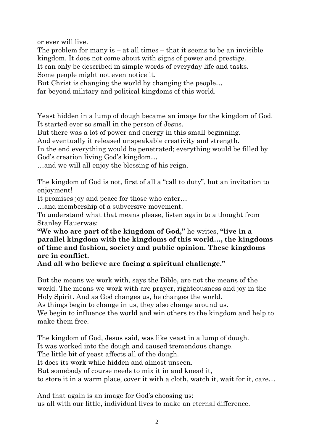or ever will live.

The problem for many is  $-$  at all times  $-$  that it seems to be an invisible kingdom. It does not come about with signs of power and prestige. It can only be described in simple words of everyday life and tasks. Some people might not even notice it.

But Christ is changing the world by changing the people…

far beyond military and political kingdoms of this world.

Yeast hidden in a lump of dough became an image for the kingdom of God. It started ever so small in the person of Jesus.

But there was a lot of power and energy in this small beginning.

And eventually it released unspeakable creativity and strength.

In the end everything would be penetrated; everything would be filled by God's creation living God's kingdom…

…and we will all enjoy the blessing of his reign.

The kingdom of God is not, first of all a "call to duty", but an invitation to enjoyment!

It promises joy and peace for those who enter…

…and membership of a subversive movement.

To understand what that means please, listen again to a thought from Stanley Hauerwas:

**"We who are part of the kingdom of God,"** he writes, **"live in a parallel kingdom with the kingdoms of this world…, the kingdoms of time and fashion, society and public opinion. These kingdoms are in conflict.**

**And all who believe are facing a spiritual challenge."**

But the means we work with, says the Bible, are not the means of the world. The means we work with are prayer, righteousness and joy in the Holy Spirit. And as God changes us, he changes the world.

As things begin to change in us, they also change around us.

We begin to influence the world and win others to the kingdom and help to make them free.

The kingdom of God, Jesus said, was like yeast in a lump of dough. It was worked into the dough and caused tremendous change. The little bit of yeast affects all of the dough. It does its work while hidden and almost unseen. But somebody of course needs to mix it in and knead it, to store it in a warm place, cover it with a cloth, watch it, wait for it, care…

And that again is an image for God's choosing us: us all with our little, individual lives to make an eternal difference.